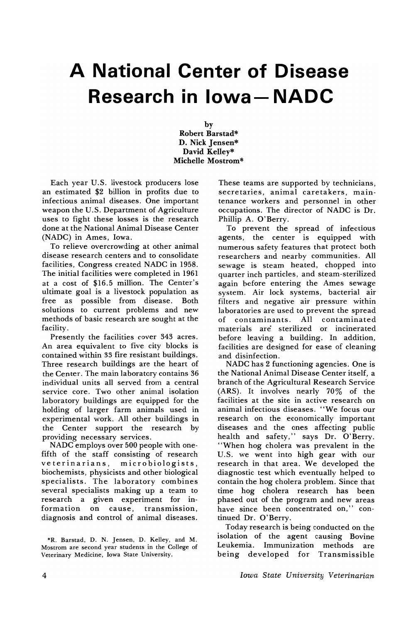## **A National Center of Disease Research in lowa- NADC**

by Robert Barstad\* D. Nick Jensen\* David Kelley\* Michelle Mostrom\*

Each year U.S. livestock producers lose an estimated \$2 billion in profits due to infectious animal diseases. One important weapon the U.S. Department of Agriculture uses to fight these losses is the research done at the National Animal Disease Center (NADC) in Ames, Iowa.

To relieve overcrowding at other animal disease research centers and to consolidate facilities, Congress created NADC in 1958. The initial facilities were completed in 1961 at a cost of \$16.5 million. The Center's ultimate goal is a livestock population as free as possible from disease. Both solutions to current problems and new methods of basic research are sought at the facility.

Presently the facilities cover 343 acres. An area equivalent to five city blocks is contained within 33 fire resistant buildings. Three research buildings are the heart of the Center. The main laboratory contains 36 individual units all served from a central service core. Two other animal isolation laboratory buildings are equipped for the holding of larger farm animals used in experimental work. All other buildings in the Center support the research by providing necessary services.

NADC employs over 500 people with onefifth of the staff consisting of research veterinarians, microbiologists, biochemists, physicists and other biological specialists. The laboratory combines several specialists making up a team to research a given experiment for information on cause, transmission, diagnosis and control of animal diseases.

\*R. Barstad, D. N. Jensen, D. Kelley, and M. Mostrom are second year students in the College of Veterinary Medicine, Iowa State University.

These teams are supported by technicians, secretaries, animal caretakers, maintenance workers and personnel in other occupations. The director of NADC is Dr. Phillip A. O'Berry.

To prevent the spread of infectious agents, the center is equipped with numerous safety features that protect both researchers and nearby communities. All sewage is steam heated, chopped into quarter inch particles, and steam-sterilized again before entering the Ames sewage system. Air lock systems, bacterial air filters and negative air pressure within laboratories are used to prevent the spread of contaminants. All contaminated materials are sterilized or incinerated before leaving a building. In addition, facilities are designed for ease of cleaning and disinfection.

NADC has 2 functioning agencies. One is the National Animal Disease Center itself, a branch of the Agricultural Research Service (ARS). It involves nearly 70% of the facilities at the site in active research on animal infectious diseases. "We focus our research on the economically important diseases and the ones affecting public health and safety," says Dr. O'Berry. "When hog cholera was prevalent in the U.S. we went into high gear with our research in that area. We developed the diagnostic test which eventually helped to contain the hog cholera problem. Since that time hog cholera research has been phased out of the program and new areas have since been concentrated on," continued Dr. 0'Berry.

Today research is being conducted on the isolation of the agent causing Bovine Leukemia. Immunization methods are being developed for Transmissible